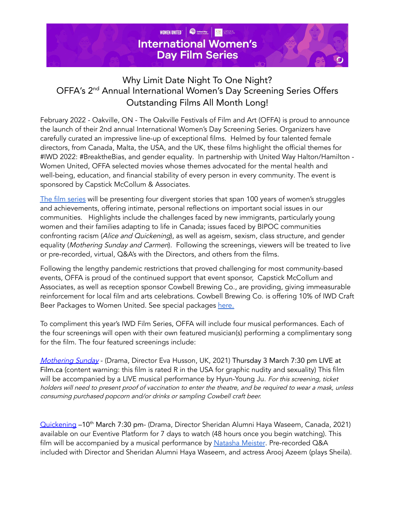

## Why Limit Date Night To One Night? OFFA's 2<sup>nd</sup> Annual International Women's Day Screening Series Offers Outstanding Films All Month Long!

February 2022 - Oakville, ON - The Oakville Festivals of Film and Art (OFFA) is proud to announce the launch of their 2nd annual International Women's Day Screening Series. Organizers have carefully curated an impressive line-up of exceptional films. Helmed by four talented female directors, from Canada, Malta, the USA, and the UK, these films highlight the official themes for #IWD 2022: #BreaktheBias, and gender equality. In partnership with United Way Halton/Hamilton - Women United, OFFA selected movies whose themes advocated for the mental health and well-being, education, and financial stability of every person in every community. The event is sponsored by Capstick McCollum & Associates.

The film [series](https://offawomensfilm.eventive.org/films) will be presenting four divergent stories that span 100 years of women's struggles and achievements, offering intimate, personal reflections on important social issues in our communities. Highlights include the challenges faced by new immigrants, particularly young women and their families adapting to life in Canada; issues faced by BIPOC communities confronting racism (Alice and Quickening), as well as ageism, sexism, class structure, and gender equality (Mothering Sunday and Carmen). Following the screenings, viewers will be treated to live or pre-recorded, virtual, Q&A's with the Directors, and others from the films.

Following the lengthy pandemic restrictions that proved challenging for most community-based events, OFFA is proud of the continued support that event sponsor, Capstick McCollum and Associates, as well as reception sponsor Cowbell Brewing Co., are providing, giving immeasurable reinforcement for local film and arts celebrations. Cowbell Brewing Co. is offering 10% of IWD Craft Beer Packages to Women United. See special packages [here.](https://cowbellbrewing.com/collections/oakville-film-festivals-iwd-packages)

To compliment this year's IWD Film Series, OFFA will include four musical performances. Each of the four screenings will open with their own featured musician(s) performing a complimentary song for the film. The four featured screenings include:

[Mothering](https://offa.ca/product/films/mothering-sunday/) Sunday - (Drama, Director Eva Husson, UK, 2021) Thursday 3 March 7:30 pm LIVE at Film.ca (content warning: this film is rated R in the USA for graphic nudity and sexuality) This film will be accompanied by a LIVE musical performance by Hyun-Young Ju. For this screening, ticket holders will need to present proof of vaccination to enter the theatre, and be required to wear <sup>a</sup> mask, unless consuming purchased popcorn and/or drinks or sampling Cowbell craft beer.

[Quickening](https://offa.ca/product/films/quickening/) -10<sup>th</sup> March 7:30 pm- (Drama, Director Sheridan Alumni Haya Waseem, Canada, 2021) available on our Eventive Platform for 7 days to watch (48 hours once you begin watching). This film will be accompanied by a musical performance by [Natasha](https://natashameister.ca/) Meister. Pre-recorded Q&A included with Director and Sheridan Alumni Haya Waseem, and actress Arooj Azeem (plays Sheila).